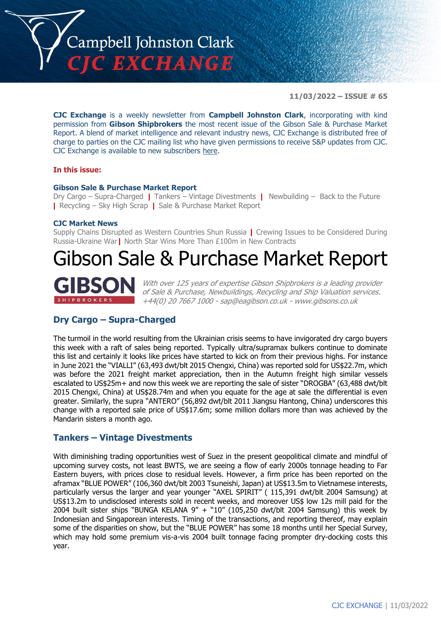

**11/03/2022 – ISSUE # 65**

**CJC Exchange** is a weekly newsletter from **Campbell Johnston Clark**, incorporating with kind permission from **Gibson Shipbrokers** the most recent issue of the Gibson Sale & Purchase Market Report. A blend of market intelligence and relevant industry news, CJC Exchange is distributed free of charge to parties on the CJC mailing list who have given permissions to receive S&P updates from CJC. CJC Exchange is available to new subscribers [here.](mailto:jamesc@cjclaw.com?subject=CJC%20Exchange%20sign-up)

#### **In this issue:**

#### **Gibson Sale & Purchase Market Report**

Dry Cargo – Supra-Charged **|** Tankers – Vintage Divestments **|** Newbuilding – Back to the Future **|** Recycling – Sky High Scrap **|** Sale & Purchase Market Report

#### **CJC Market News**

Supply Chains Disrupted as Western Countries Shun Russia **|** Crewing Issues to be Considered During Russia-Ukraine War**|** North Star Wins More Than £100m in New Contracts

# Gibson Sale & Purchase Market Report



With over 125 years of expertise Gibson Shipbrokers is a leading provider of Sale & Purchase, Newbuildings, Recycling and Ship Valuation services. +44(0) 20 7667 1000 - [sap@eagibson.co.uk](mailto:sap@eagibson.co.uk) - [www.gibsons.co.uk](https://protect-eu.mimecast.com/s/VO6nCGZzRS60KqcK1jQh/)

# **Dry Cargo – Supra-Charged**

The turmoil in the world resulting from the Ukrainian crisis seems to have invigorated dry cargo buyers this week with a raft of sales being reported. Typically ultra/supramax bulkers continue to dominate this list and certainly it looks like prices have started to kick on from their previous highs. For instance in June 2021 the "VIALLI" (63,493 dwt/blt 2015 Chengxi, China) was reported sold for US\$22.7m, which was before the 2021 freight market appreciation, then in the Autumn freight high similar vessels escalated to US\$25m+ and now this week we are reporting the sale of sister "DROGBA" (63,488 dwt/blt 2015 Chengxi, China) at US\$28.74m and when you equate for the age at sale the differential is even greater. Similarly, the supra "ANTERO" (56,892 dwt/blt 2011 Jiangsu Hantong, China) underscores this change with a reported sale price of US\$17.6m; some million dollars more than was achieved by the Mandarin sisters a month ago.

## **Tankers – Vintage Divestments**

With diminishing trading opportunities west of Suez in the present geopolitical climate and mindful of upcoming survey costs, not least BWTS, we are seeing a flow of early 2000s tonnage heading to Far Eastern buyers, with prices close to residual levels. However, a firm price has been reported on the aframax "BLUE POWER" (106,360 dwt/blt 2003 Tsuneishi, Japan) at US\$13.5m to Vietnamese interests, particularly versus the larger and year younger "AXEL SPIRIT" ( 115,391 dwt/blt 2004 Samsung) at US\$13.2m to undisclosed interests sold in recent weeks, and moreover US\$ low 12s mill paid for the 2004 built sister ships "BUNGA KELANA  $9'' +$  "10" (105,250 dwt/blt 2004 Samsung) this week by Indonesian and Singaporean interests. Timing of the transactions, and reporting thereof, may explain some of the disparities on show, but the "BLUE POWER" has some 18 months until her Special Survey, which may hold some premium vis-a-vis 2004 built tonnage facing prompter dry-docking costs this year.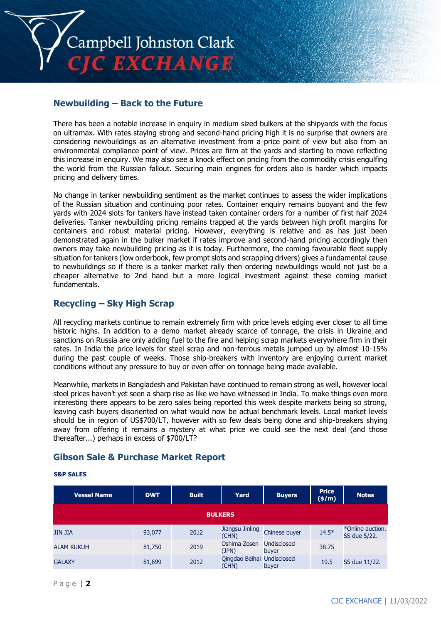

# **Newbuilding – Back to the Future**

There has been a notable increase in enquiry in medium sized bulkers at the shipyards with the focus on ultramax. With rates staying strong and second-hand pricing high it is no surprise that owners are considering newbuildings as an alternative investment from a price point of view but also from an environmental compliance point of view. Prices are firm at the yards and starting to move reflecting this increase in enquiry. We may also see a knock effect on pricing from the commodity crisis engulfing the world from the Russian fallout. Securing main engines for orders also is harder which impacts pricing and delivery times.

No change in tanker newbuilding sentiment as the market continues to assess the wider implications of the Russian situation and continuing poor rates. Container enquiry remains buoyant and the few yards with 2024 slots for tankers have instead taken container orders for a number of first half 2024 deliveries. Tanker newbuilding pricing remains trapped at the yards between high profit margins for containers and robust material pricing. However, everything is relative and as has just been demonstrated again in the bulker market if rates improve and second-hand pricing accordingly then owners may take newbuilding pricing as it is today. Furthermore, the coming favourable fleet supply situation for tankers (low orderbook, few prompt slots and scrapping drivers) gives a fundamental cause to newbuildings so if there is a tanker market rally then ordering newbuildings would not just be a cheaper alternative to 2nd hand but a more logical investment against these coming market fundamentals.

## **Recycling – Sky High Scrap**

All recycling markets continue to remain extremely firm with price levels edging ever closer to all time historic highs. In addition to a demo market already scarce of tonnage, the crisis in Ukraine and sanctions on Russia are only adding fuel to the fire and helping scrap markets everywhere firm in their rates. In India the price levels for steel scrap and non-ferrous metals jumped up by almost 10-15% during the past couple of weeks. Those ship-breakers with inventory are enjoying current market conditions without any pressure to buy or even offer on tonnage being made available.

Meanwhile, markets in Bangladesh and Pakistan have continued to remain strong as well, however local steel prices haven't yet seen a sharp rise as like we have witnessed in India. To make things even more interesting there appears to be zero sales being reported this week despite markets being so strong, leaving cash buyers disoriented on what would now be actual benchmark levels. Local market levels should be in region of US\$700/LT, however with so few deals being done and ship-breakers shying away from offering it remains a mystery at what price we could see the next deal (and those thereafter...) perhaps in excess of \$700/LT?

# **Gibson Sale & Purchase Market Report**

#### **S&P SALES**

| <b>Vessel Name</b> | <b>DWT</b> | <b>Built</b> | Yard                                | <b>Buyers</b>               | <b>Price</b><br>(\$/m) | <b>Notes</b>                     |  |  |
|--------------------|------------|--------------|-------------------------------------|-----------------------------|------------------------|----------------------------------|--|--|
| <b>BULKERS</b>     |            |              |                                     |                             |                        |                                  |  |  |
| <b>JIN JIA</b>     | 93,077     | 2012         | Jiangsu Jinling<br>(CHN)            | Chinese buyer               | $14.5*$                | *Online auction.<br>SS due 5/22. |  |  |
| <b>ALAM KUKUH</b>  | 81,750     | 2019         | Oshima Zosen<br>(JPN)               | <b>Undisclosed</b><br>buyer | 38.75                  |                                  |  |  |
| <b>GALAXY</b>      | 81,699     | 2012         | Qingdao Beihai Undisclosed<br>(CHN) | buyer                       | 19.5                   | SS due 11/22.                    |  |  |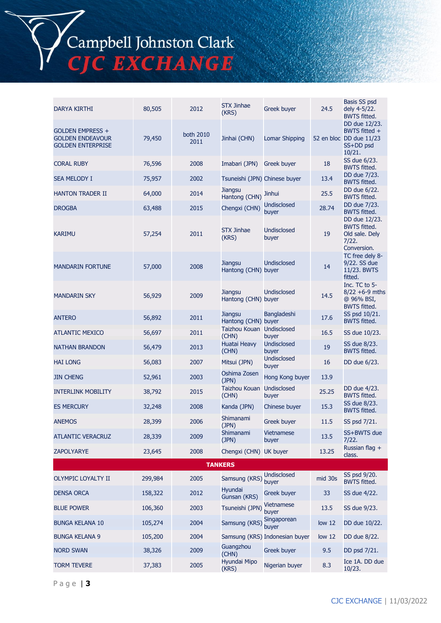# Campbell Johnston Clark<br>CJC EXCHANGE

| DARYA KIRTHI                                                            | 80,505  | 2012              | <b>STX Jinhae</b><br>(KRS)            | Greek buyer                    | 24.5              | Basis SS psd<br>dely 4-5/22.<br><b>BWTS fitted.</b>                              |
|-------------------------------------------------------------------------|---------|-------------------|---------------------------------------|--------------------------------|-------------------|----------------------------------------------------------------------------------|
| GOLDEN EMPRESS +<br><b>GOLDEN ENDEAVOUR</b><br><b>GOLDEN ENTERPRISE</b> | 79,450  | both 2010<br>2011 | Jinhai (CHN)                          | <b>Lomar Shipping</b>          |                   | DD due 12/23.<br>BWTS fitted +<br>52 en bloc DD due 11/23<br>SS+DD psd<br>10/21. |
| <b>CORAL RUBY</b>                                                       | 76,596  | 2008              | Imabari (JPN)                         | Greek buyer                    | 18                | SS due 6/23.<br><b>BWTS fitted.</b>                                              |
| <b>SEA MELODY I</b>                                                     | 75,957  | 2002              | Tsuneishi (JPN) Chinese buyer         |                                | 13.4              | DD due 7/23.<br><b>BWTS fitted.</b>                                              |
| <b>HANTON TRADER II</b>                                                 | 64,000  | 2014              | <b>Jiangsu</b><br>Hantong (CHN)       | <b>Jinhui</b>                  | 25.5              | DD due 6/22.<br><b>BWTS fitted.</b>                                              |
| <b>DROGBA</b>                                                           | 63,488  | 2015              | Chengxi (CHN)                         | Undisclosed<br>buyer           | 28.74             | DD due 7/23.<br><b>BWTS fitted.</b>                                              |
| <b>KARIMU</b>                                                           | 57,254  | 2011              | <b>STX Jinhae</b><br>(KRS)            | Undisclosed<br>buyer           | 19                | DD due 12/23.<br><b>BWTS fitted.</b><br>Old sale. Dely<br>7/22.<br>Conversion.   |
| <b>MANDARIN FORTUNE</b>                                                 | 57,000  | 2008              | <b>Jiangsu</b><br>Hantong (CHN) buyer | Undisclosed                    | 14                | TC free dely 8-<br>9/22. SS due<br>11/23. BWTS<br>fitted.                        |
| <b>MANDARIN SKY</b>                                                     | 56,929  | 2009              | <b>Jiangsu</b><br>Hantong (CHN) buyer | <b>Undisclosed</b>             | 14.5              | Inc. TC to 5-<br>$8/22 + 6 - 9$ mths<br>@ 96% BSI,<br><b>BWTS fitted.</b>        |
| <b>ANTERO</b>                                                           | 56,892  | 2011              | <b>Jiangsu</b><br>Hantong (CHN) buyer | <b>Bangladeshi</b>             | 17.6              | SS psd 10/21.<br><b>BWTS fitted.</b>                                             |
| <b>ATLANTIC MEXICO</b>                                                  | 56,697  | 2011              | Taizhou Kouan Undisclosed<br>(CHN)    | buyer                          | 16.5              | SS due 10/23.                                                                    |
| <b>NATHAN BRANDON</b>                                                   | 56,479  | 2013              | Huatai Heavy<br>(CHN)                 | <b>Undisclosed</b><br>buyer    | 19                | SS due 8/23.<br><b>BWTS fitted.</b>                                              |
| <b>HAI LONG</b>                                                         | 56,083  | 2007              | Mitsui (JPN)                          | <b>Undisclosed</b><br>buyer    | 16                | DD due 6/23.                                                                     |
| <b>JIN CHENG</b>                                                        | 52,961  | 2003              | Oshima Zosen<br>(JPN)                 | Hong Kong buyer                | 13.9              |                                                                                  |
| <b>INTERLINK MOBILITY</b>                                               | 38,792  | 2015              | Taizhou Kouan Undisclosed<br>(CHN)    | buyer                          | 25.25             | DD due 4/23.<br><b>BWTS fitted.</b>                                              |
| <b>ES MERCURY</b>                                                       | 32,248  | 2008              | Kanda (JPN)                           | Chinese buyer                  | 15.3              | SS due 8/23.<br><b>BWTS fitted.</b>                                              |
| <b>ANEMOS</b>                                                           | 28,399  | 2006              | Shimanami<br>(JPN)                    | <b>Greek buyer</b>             | 11.5              | SS psd 7/21.                                                                     |
| <b>ATLANTIC VERACRUZ</b>                                                | 28,339  | 2009              | Shimanami<br>(JPN)                    | Vietnamese<br>buyer            | 13.5              | SS+BWTS due<br>7/22.                                                             |
| <b>ZAPOLYARYE</b>                                                       | 23,645  | 2008              | Chengxi (CHN) UK buyer                |                                | 13.25             | Russian flag +<br>class.                                                         |
|                                                                         |         |                   | <b>TANKERS</b>                        |                                |                   |                                                                                  |
| OLYMPIC LOYALTY II                                                      | 299,984 | 2005              | Samsung (KRS)                         | <b>Undisclosed</b><br>buyer    | mid 30s           | SS psd 9/20.<br><b>BWTS fitted.</b>                                              |
| <b>DENSA ORCA</b>                                                       | 158,322 | 2012              | Hyundai<br>Gunsan (KRS)               | <b>Greek buyer</b>             | 33                | SS due 4/22.                                                                     |
| <b>BLUE POWER</b>                                                       | 106,360 | 2003              | Tsuneishi (JPN)                       | Vietnamese<br>buyer            | 13.5              | SS due 9/23.                                                                     |
| <b>BUNGA KELANA 10</b>                                                  | 105,274 | 2004              | Samsung (KRS)                         | Singaporean<br>buyer           | low <sub>12</sub> | DD due 10/22.                                                                    |
| <b>BUNGA KELANA 9</b>                                                   | 105,200 | 2004              |                                       | Samsung (KRS) Indonesian buyer | low <sub>12</sub> | DD due 8/22.                                                                     |
| <b>NORD SWAN</b>                                                        | 38,326  | 2009              | Guangzhou<br>(CHN)                    | <b>Greek buyer</b>             | 9.5               | DD psd 7/21.                                                                     |
| <b>TORM TEVERE</b>                                                      | 37,383  | 2005              | Hyundai Mipo<br>(KRS)                 | Nigerian buyer                 | 8.3               | Ice 1A. DD due<br>10/23.                                                         |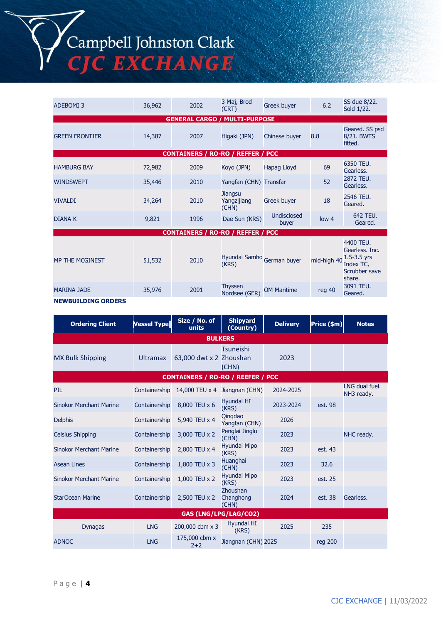# Campbell Johnston Clark **C EXCHANGE**

ADEBOMI 3 36,962 2002 3 Maj, Brod 3 Maj, Brod Greek buyer 6.2 SS due 8/22.<br>(CRT) Greek buyer 6.2 Sold 1/22. Sold 1/22. **GENERAL CARGO / MULTI-PURPOSE** GREEN FRONTIER 14,387 | 2007 Higaki (JPN) Chinese buyer 8.8 Geared. SS psd 8/21. BWTS fitted. **CONTAINERS / RO-RO / REFFER / PCC** HAMBURG BAY 72,982 <sup>2009</sup> Koyo (JPN) Hapag Lloyd <sup>69</sup> 6350 TEU. Gearless. WINDSWEPT 35,446 2010 Yangfan (CHN) Transfar 52 2872 TEU. Gearless. VIVALDI 34,264 2010 **Jiangsu** Yangzijiang (CHN) Greek buyer 18 2546 TEU. Geared. DIANA K 9,821 1996 Dae Sun (KRS) Undisclosed disclosed low 4 642 TEU.<br>
buyer low 4 Geared. **CONTAINERS / RO-RO / REFFER / PCC** MP THE MCGINEST 51,532 2010 Hyundai Samho German buyer mid-high 40 4400 TEU. Gearless. Inc. 1.5-3.5 yrs Index TC, Scrubber save share. MARINA JADE 35,976 2001 Thyssen Thyssen<br>Nordsee (GER) OM Maritime reg 40 3091 TEU. Geared. **NEWBUILDING ORDERS**

#### **Ordering Client Vessel Type Size / No. of units Shipyard (Country) Delivery Price (\$m) Notes BULKERS** MX Bulk Shipping **Example 2018** Ultramax Tsuneishi 63,000 dwt x 2 Zhoushan (CHN) 2023 **CONTAINERS / RO-RO / REEFER / PCC** PIL Containership 14,000 TEU x 4 Jiangnan (CHN) 2024-2025 LNG dual fuel. NH3 ready. Sinokor Merchant Marine Containership 8,000 TEU x 6 Hyundai HI (KRS) 2023-2024 est. 98 Delphis Containership 5,940 TEU x 4 Qinqdao Yangfan (CHN) <sup>2026</sup> Celsius Shipping Containership 3,000 TEU x 2 Penglai Jinglu (CHN) <sup>2023</sup> NHC ready. Sinokor Merchant Marine Containership 2,800 TEU x 4 Hyundai Mipo (KRS) <sup>2023</sup> est. 43 Asean Lines Containership 1,800 TEU x 3 Huanghai (CHN) <sup>2023</sup> 32.6 Sinokor Merchant Marine Containership 1,000 TEU x 2 Hyundai Mipo (KRS) <sup>2023</sup> est. 25 StarOcean Marine Containership 2,500 TEU x 2 Zhoushan Changhong (CHN) 2024 est. 38 Gearless. **GAS (LNG/LPG/LAG/CO2)** Dynagas LNG  $200,000$  cbm x 3 Hyundai HI  $(KRS)$  2025 235 ADNOC LNG  $\begin{array}{c} 175,000 \text{ cbm x} \\ 2+2 \end{array}$ Jiangnan (CHN) 2025 reg 200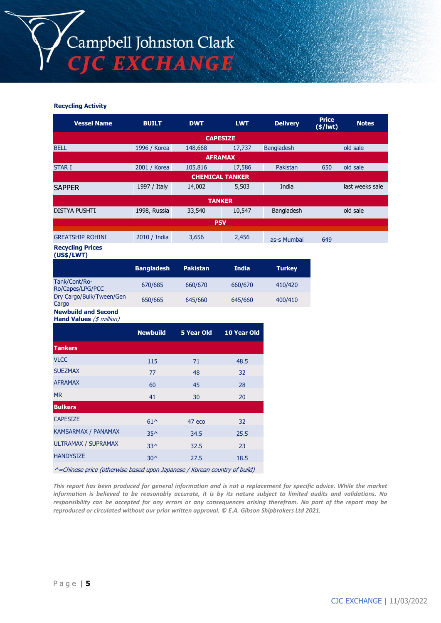

#### **Recycling Activity**

| <b>Vessel Name</b>                                                        | <b>BUILT</b>      | <b>DWT</b>        | <b>LWT</b>             | <b>Delivery</b>   | <b>Price</b><br>$(*)$ lwt) | <b>Notes</b>    |
|---------------------------------------------------------------------------|-------------------|-------------------|------------------------|-------------------|----------------------------|-----------------|
|                                                                           |                   |                   | <b>CAPESIZE</b>        |                   |                            |                 |
| <b>BELL</b>                                                               | 1996 / Korea      | 148,668           | 17,737                 | <b>Bangladesh</b> |                            | old sale        |
|                                                                           |                   |                   | <b>AFRAMAX</b>         |                   |                            |                 |
| <b>STAR I</b>                                                             | 2001 / Korea      | 105,816           | and the<br>17,586      | Pakistan          | 650                        | old sale        |
|                                                                           |                   |                   | <b>CHEMICAL TANKER</b> |                   |                            |                 |
| <b>SAPPER</b>                                                             | 1997 / Italy      | 14,002            | 5,503                  | India             |                            | last weeks sale |
|                                                                           |                   |                   | <b>TANKER</b>          |                   |                            |                 |
| <b>DISTYA PUSHTI</b>                                                      | 1998, Russia      | 33,540            | 10,547                 | Bangladesh        |                            | old sale        |
|                                                                           |                   |                   | <b>PSV</b>             |                   |                            |                 |
| <b>GREATSHIP ROHINI</b>                                                   | 2010 / India      | 3,656             | 2,456                  | as-s Mumbai       | 649                        |                 |
| <b>Recycling Prices</b><br>(US\$/LWT)                                     |                   |                   |                        |                   |                            |                 |
|                                                                           | <b>Bangladesh</b> | <b>Pakistan</b>   | <b>India</b>           | <b>Turkey</b>     |                            |                 |
| Tank/Cont/Ro-<br>Ro/Capes/LPG/PCC                                         | 670/685           | 660/670           | 660/670                | 410/420           |                            |                 |
| Dry Cargo/Bulk/Tween/Gen<br>Cargo                                         | 650/665           | 645/660           | 645/660                | 400/410           |                            |                 |
| <b>Newbuild and Second</b><br>Hand Values (\$ million)                    |                   |                   |                        |                   |                            |                 |
|                                                                           | <b>Newbuild</b>   | <b>5 Year Old</b> | 10 Year Old            |                   |                            |                 |
| <b>Tankers</b>                                                            |                   |                   |                        |                   |                            |                 |
| <b>VLCC</b>                                                               | 115               | 71                | 48.5                   |                   |                            |                 |
| <b>SUEZMAX</b>                                                            | 77                | 48                | 32                     |                   |                            |                 |
| <b>AFRAMAX</b>                                                            | 60                | 45                | 28                     |                   |                            |                 |
| <b>MR</b>                                                                 | 41                | 30                | 20                     |                   |                            |                 |
| <b>Bulkers</b>                                                            |                   |                   |                        |                   |                            |                 |
| <b>CAPESIZE</b>                                                           | $61^{\wedge}$     | 47 eco            | 32                     |                   |                            |                 |
| KAMSARMAX / PANAMAX                                                       | $35^$             | 34.5              | 25.5                   |                   |                            |                 |
| ULTRAMAX / SUPRAMAX                                                       | $33^$             | 32.5              | 23                     |                   |                            |                 |
| <b>HANDYSIZE</b>                                                          | $30^{\circ}$      | 27.5              | 18.5                   |                   |                            |                 |
| ^=Chinese price (otherwise based upon Japanese / Korean country of build) |                   |                   |                        |                   |                            |                 |

*This report has been produced for general information and is not a replacement for specific advice. While the market information is believed to be reasonably accurate, it is by its nature subject to limited audits and validations. No responsibility can be accepted for any errors or any consequences arising therefrom. No part of the report may be reproduced or circulated without our prior written approval. © E.A. Gibson Shipbrokers Ltd 2021.*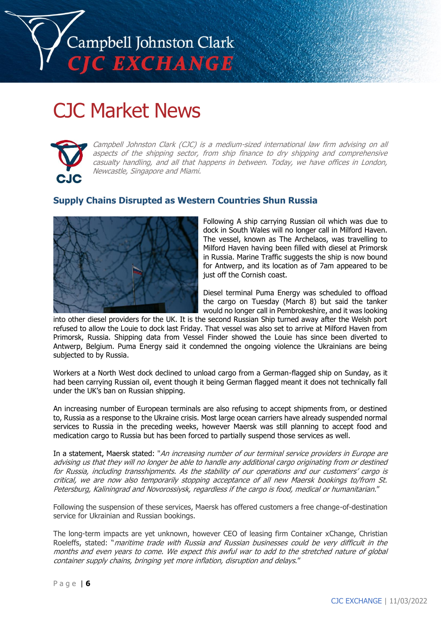

# CJC Market News



Campbell Johnston Clark (CJC) is a medium-sized international law firm advising on all aspects of the shipping sector, from ship finance to dry shipping and comprehensive casualty handling, and all that happens in between. Today, we have offices in London, Newcastle, Singapore and Miami.

# **Supply Chains Disrupted as Western Countries Shun Russia**



Following A ship carrying Russian oil which was due to dock in South Wales will no longer call in Milford Haven. The vessel, known as The Archelaos, was travelling to Milford Haven having been filled with diesel at Primorsk in Russia. Marine Traffic suggests the ship is now bound for Antwerp, and its location as of 7am appeared to be just off the Cornish coast.

Diesel terminal Puma Energy was scheduled to offload the cargo on Tuesday (March 8) but said the tanker would no longer call in Pembrokeshire, and it was looking

into other diesel providers for the UK. It is the second Russian Ship turned away after the Welsh port refused to allow the Louie to dock last Friday. That vessel was also set to arrive at Milford Haven from Primorsk, Russia. Shipping data from Vessel Finder showed the Louie has since been diverted to Antwerp, Belgium. Puma Energy said it condemned the ongoing violence the Ukrainians are being subjected to by Russia.

Workers at a North West dock declined to unload cargo from a German-flagged ship on Sunday, as it had been carrying Russian oil, event though it being German flagged meant it does not technically fall under the UK's ban on Russian shipping.

An increasing number of European terminals are also refusing to accept shipments from, or destined to, Russia as a response to the Ukraine crisis. Most large ocean carriers have already suspended normal services to Russia in the preceding weeks, however Maersk was still planning to accept food and medication cargo to Russia but has been forced to partially suspend those services as well.

In a statement, Maersk stated: "An increasing number of our terminal service providers in Europe are advising us that they will no longer be able to handle any additional cargo originating from or destined for Russia, including transshipments. As the stability of our operations and our customers' cargo is critical, we are now also temporarily stopping acceptance of all new Maersk bookings to/from St. Petersburg, Kaliningrad and Novorossiysk, regardless if the cargo is food, medical or humanitarian."

Following the suspension of these services, Maersk has offered customers a free change-of-destination service for Ukrainian and Russian bookings.

The long-term impacts are yet unknown, however CEO of leasing firm Container xChange, Christian Roeleffs, stated: "maritime trade with Russia and Russian businesses could be very difficult in the months and even years to come. We expect this awful war to add to the stretched nature of global container supply chains, bringing yet more inflation, disruption and delays."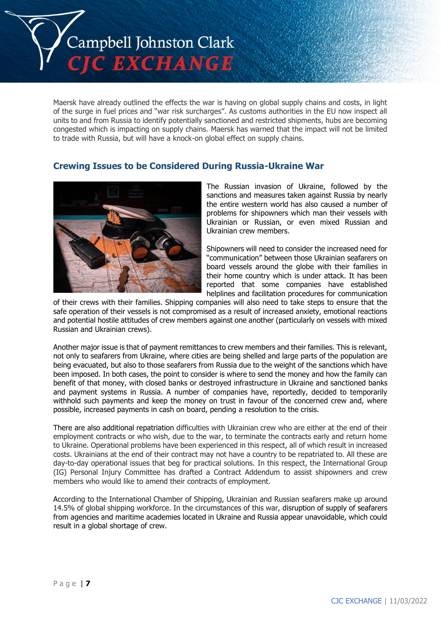

Maersk have already outlined the effects the war is having on global supply chains and costs, in light of the surge in fuel prices and "war risk surcharges". As customs authorities in the EU now inspect all units to and from Russia to identify potentially sanctioned and restricted shipments, hubs are becoming congested which is impacting on supply chains. Maersk has warned that the impact will not be limited to trade with Russia, but will have a knock-on global effect on supply chains.

### **Crewing Issues to be Considered During Russia-Ukraine War**



The Russian invasion of Ukraine, followed by the sanctions and measures taken against Russia by nearly the entire western world has also caused a number of problems for shipowners which man their vessels with Ukrainian or Russian, or even mixed Russian and Ukrainian crew members.

Shipowners will need to consider the increased need for "communication" between those Ukrainian seafarers on board vessels around the globe with their families in their home country which is under attack. It has been reported that some companies have established helplines and facilitation procedures for communication

of their crews with their families. Shipping companies will also need to take steps to ensure that the safe operation of their vessels is not compromised as a result of increased anxiety, emotional reactions and potential hostile attitudes of crew members against one another (particularly on vessels with mixed Russian and Ukrainian crews).

Another major issue is that of payment remittances to crew members and their families. This is relevant, not only to seafarers from Ukraine, where cities are being shelled and large parts of the population are being evacuated, but also to those seafarers from Russia due to the weight of the sanctions which have been imposed. In both cases, the point to consider is where to send the money and how the family can benefit of that money, with closed banks or destroyed infrastructure in Ukraine and sanctioned banks and payment systems in Russia. A number of companies have, reportedly, decided to temporarily withhold such payments and keep the money on trust in favour of the concerned crew and, where possible, increased payments in cash on board, pending a resolution to the crisis.

There are also additional repatriation difficulties with Ukrainian crew who are either at the end of their employment contracts or who wish, due to the war, to terminate the contracts early and return home to Ukraine. Operational problems have been experienced in this respect, all of which result in increased costs. Ukrainians at the end of their contract may not have a country to be repatriated to. All these are day-to-day operational issues that beg for practical solutions. In this respect, the International Group (IG) Personal Injury Committee has drafted a Contract Addendum to assist shipowners and crew members who would like to amend their contracts of employment.

According to the International Chamber of Shipping, Ukrainian and Russian seafarers make up around 14.5% of global shipping workforce. In the circumstances of this war, disruption of supply of seafarers from agencies and maritime academies located in Ukraine and Russia appear unavoidable, which could result in a global shortage of crew.